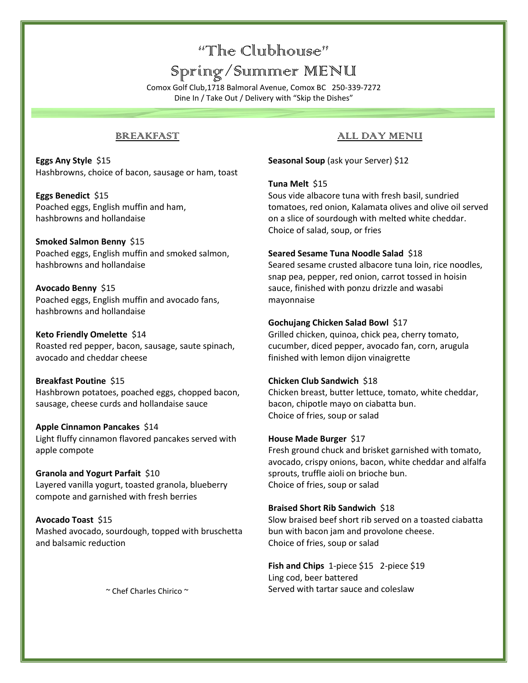# "The Clubhouse"

# Spring/Summer MENU

Comox Golf Club,1718 Balmoral Avenue, Comox BC 250-339-7272 Dine In / Take Out / Delivery with "Skip the Dishes"

### BREAKFAST

**Eggs Any Style** \$15 Hashbrowns, choice of bacon, sausage or ham, toast

**Eggs Benedict** \$15 Poached eggs, English muffin and ham, hashbrowns and hollandaise

**Smoked Salmon Benny** \$15 Poached eggs, English muffin and smoked salmon, hashbrowns and hollandaise

**Avocado Benny** \$15 Poached eggs, English muffin and avocado fans, hashbrowns and hollandaise

**Keto Friendly Omelette** \$14 Roasted red pepper, bacon, sausage, saute spinach, avocado and cheddar cheese

**Breakfast Poutine** \$15 Hashbrown potatoes, poached eggs, chopped bacon, sausage, cheese curds and hollandaise sauce

**Apple Cinnamon Pancakes** \$14 Light fluffy cinnamon flavored pancakes served with apple compote

**Granola and Yogurt Parfait** \$10 Layered vanilla yogurt, toasted granola, blueberry compote and garnished with fresh berries

**Avocado Toast** \$15 Mashed avocado, sourdough, topped with bruschetta and balsamic reduction

~ Chef Charles Chirico ~

### ALL DAY MENU

**Seasonal Soup** (ask your Server) \$12

**Tuna Melt** \$15

Sous vide albacore tuna with fresh basil, sundried tomatoes, red onion, Kalamata olives and olive oil served on a slice of sourdough with melted white cheddar. Choice of salad, soup, or fries

### **Seared Sesame Tuna Noodle Salad** \$18

Seared sesame crusted albacore tuna loin, rice noodles, snap pea, pepper, red onion, carrot tossed in hoisin sauce, finished with ponzu drizzle and wasabi mayonnaise

### **Gochujang Chicken Salad Bowl** \$17

Grilled chicken, quinoa, chick pea, cherry tomato, cucumber, diced pepper, avocado fan, corn, arugula finished with lemon dijon vinaigrette

### **Chicken Club Sandwich** \$18

Chicken breast, butter lettuce, tomato, white cheddar, bacon, chipotle mayo on ciabatta bun. Choice of fries, soup or salad

### **House Made Burger** \$17

Fresh ground chuck and brisket garnished with tomato, avocado, crispy onions, bacon, white cheddar and alfalfa sprouts, truffle aioli on brioche bun. Choice of fries, soup or salad

#### **Braised Short Rib Sandwich** \$18

Slow braised beef short rib served on a toasted ciabatta bun with bacon jam and provolone cheese. Choice of fries, soup or salad

**Fish and Chips** 1-piece \$15 2-piece \$19 Ling cod, beer battered Served with tartar sauce and coleslaw